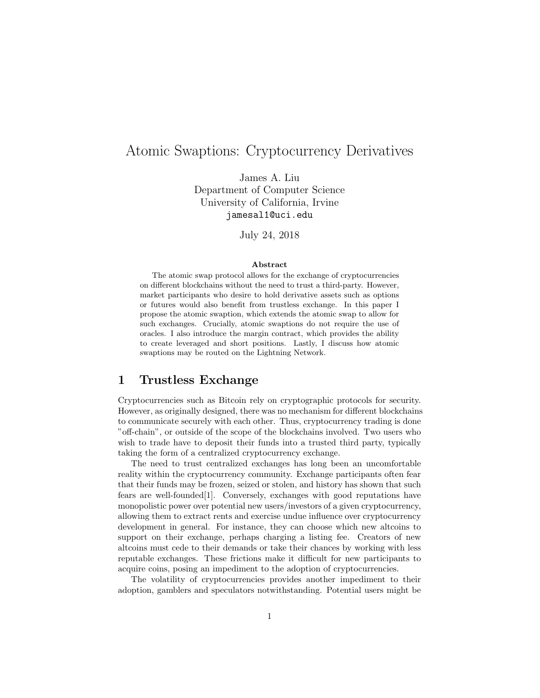# Atomic Swaptions: Cryptocurrency Derivatives

James A. Liu Department of Computer Science University of California, Irvine jamesal1@uci.edu

July 24, 2018

#### Abstract

The atomic swap protocol allows for the exchange of cryptocurrencies on different blockchains without the need to trust a third-party. However, market participants who desire to hold derivative assets such as options or futures would also benefit from trustless exchange. In this paper I propose the atomic swaption, which extends the atomic swap to allow for such exchanges. Crucially, atomic swaptions do not require the use of oracles. I also introduce the margin contract, which provides the ability to create leveraged and short positions. Lastly, I discuss how atomic swaptions may be routed on the Lightning Network.

### 1 Trustless Exchange

Cryptocurrencies such as Bitcoin rely on cryptographic protocols for security. However, as originally designed, there was no mechanism for different blockchains to communicate securely with each other. Thus, cryptocurrency trading is done "off-chain", or outside of the scope of the blockchains involved. Two users who wish to trade have to deposit their funds into a trusted third party, typically taking the form of a centralized cryptocurrency exchange.

The need to trust centralized exchanges has long been an uncomfortable reality within the cryptocurrency community. Exchange participants often fear that their funds may be frozen, seized or stolen, and history has shown that such fears are well-founded[1]. Conversely, exchanges with good reputations have monopolistic power over potential new users/investors of a given cryptocurrency, allowing them to extract rents and exercise undue influence over cryptocurrency development in general. For instance, they can choose which new altcoins to support on their exchange, perhaps charging a listing fee. Creators of new altcoins must cede to their demands or take their chances by working with less reputable exchanges. These frictions make it difficult for new participants to acquire coins, posing an impediment to the adoption of cryptocurrencies.

The volatility of cryptocurrencies provides another impediment to their adoption, gamblers and speculators notwithstanding. Potential users might be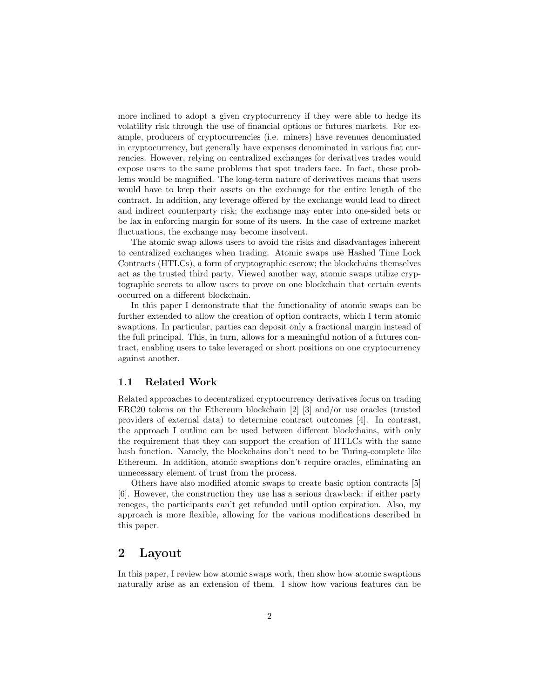more inclined to adopt a given cryptocurrency if they were able to hedge its volatility risk through the use of financial options or futures markets. For example, producers of cryptocurrencies (i.e. miners) have revenues denominated in cryptocurrency, but generally have expenses denominated in various fiat currencies. However, relying on centralized exchanges for derivatives trades would expose users to the same problems that spot traders face. In fact, these problems would be magnified. The long-term nature of derivatives means that users would have to keep their assets on the exchange for the entire length of the contract. In addition, any leverage offered by the exchange would lead to direct and indirect counterparty risk; the exchange may enter into one-sided bets or be lax in enforcing margin for some of its users. In the case of extreme market fluctuations, the exchange may become insolvent.

The atomic swap allows users to avoid the risks and disadvantages inherent to centralized exchanges when trading. Atomic swaps use Hashed Time Lock Contracts (HTLCs), a form of cryptographic escrow; the blockchains themselves act as the trusted third party. Viewed another way, atomic swaps utilize cryptographic secrets to allow users to prove on one blockchain that certain events occurred on a different blockchain.

In this paper I demonstrate that the functionality of atomic swaps can be further extended to allow the creation of option contracts, which I term atomic swaptions. In particular, parties can deposit only a fractional margin instead of the full principal. This, in turn, allows for a meaningful notion of a futures contract, enabling users to take leveraged or short positions on one cryptocurrency against another.

#### 1.1 Related Work

Related approaches to decentralized cryptocurrency derivatives focus on trading ERC20 tokens on the Ethereum blockchain [2] [3] and/or use oracles (trusted providers of external data) to determine contract outcomes [4]. In contrast, the approach I outline can be used between different blockchains, with only the requirement that they can support the creation of HTLCs with the same hash function. Namely, the blockchains don't need to be Turing-complete like Ethereum. In addition, atomic swaptions don't require oracles, eliminating an unnecessary element of trust from the process.

Others have also modified atomic swaps to create basic option contracts [5] [6]. However, the construction they use has a serious drawback: if either party reneges, the participants can't get refunded until option expiration. Also, my approach is more flexible, allowing for the various modifications described in this paper.

### 2 Layout

In this paper, I review how atomic swaps work, then show how atomic swaptions naturally arise as an extension of them. I show how various features can be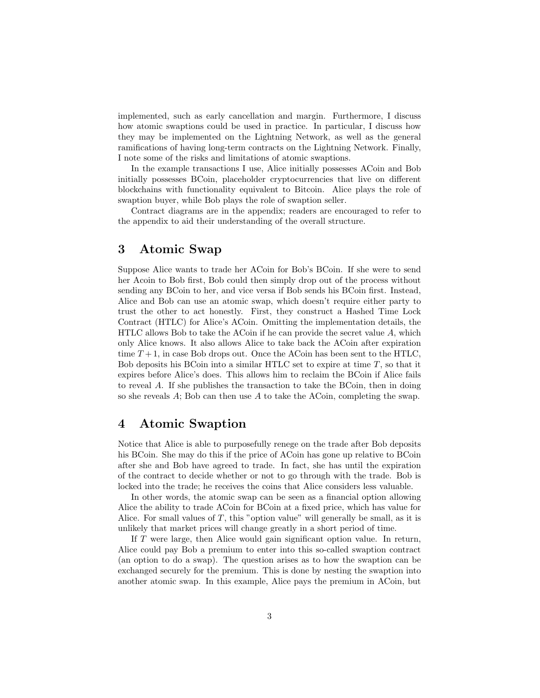implemented, such as early cancellation and margin. Furthermore, I discuss how atomic swaptions could be used in practice. In particular, I discuss how they may be implemented on the Lightning Network, as well as the general ramifications of having long-term contracts on the Lightning Network. Finally, I note some of the risks and limitations of atomic swaptions.

In the example transactions I use, Alice initially possesses ACoin and Bob initially possesses BCoin, placeholder cryptocurrencies that live on different blockchains with functionality equivalent to Bitcoin. Alice plays the role of swaption buyer, while Bob plays the role of swaption seller.

Contract diagrams are in the appendix; readers are encouraged to refer to the appendix to aid their understanding of the overall structure.

## 3 Atomic Swap

Suppose Alice wants to trade her ACoin for Bob's BCoin. If she were to send her Acoin to Bob first, Bob could then simply drop out of the process without sending any BCoin to her, and vice versa if Bob sends his BCoin first. Instead, Alice and Bob can use an atomic swap, which doesn't require either party to trust the other to act honestly. First, they construct a Hashed Time Lock Contract (HTLC) for Alice's ACoin. Omitting the implementation details, the  $HTLC$  allows Bob to take the ACoin if he can provide the secret value  $A$ , which only Alice knows. It also allows Alice to take back the ACoin after expiration time  $T+1$ , in case Bob drops out. Once the ACoin has been sent to the HTLC, Bob deposits his BCoin into a similar HTLC set to expire at time  $T$ , so that it expires before Alice's does. This allows him to reclaim the BCoin if Alice fails to reveal A. If she publishes the transaction to take the BCoin, then in doing so she reveals  $A$ ; Bob can then use  $A$  to take the ACoin, completing the swap.

### 4 Atomic Swaption

Notice that Alice is able to purposefully renege on the trade after Bob deposits his BCoin. She may do this if the price of ACoin has gone up relative to BCoin after she and Bob have agreed to trade. In fact, she has until the expiration of the contract to decide whether or not to go through with the trade. Bob is locked into the trade; he receives the coins that Alice considers less valuable.

In other words, the atomic swap can be seen as a financial option allowing Alice the ability to trade ACoin for BCoin at a fixed price, which has value for Alice. For small values of  $T$ , this "option value" will generally be small, as it is unlikely that market prices will change greatly in a short period of time.

If T were large, then Alice would gain significant option value. In return, Alice could pay Bob a premium to enter into this so-called swaption contract (an option to do a swap). The question arises as to how the swaption can be exchanged securely for the premium. This is done by nesting the swaption into another atomic swap. In this example, Alice pays the premium in ACoin, but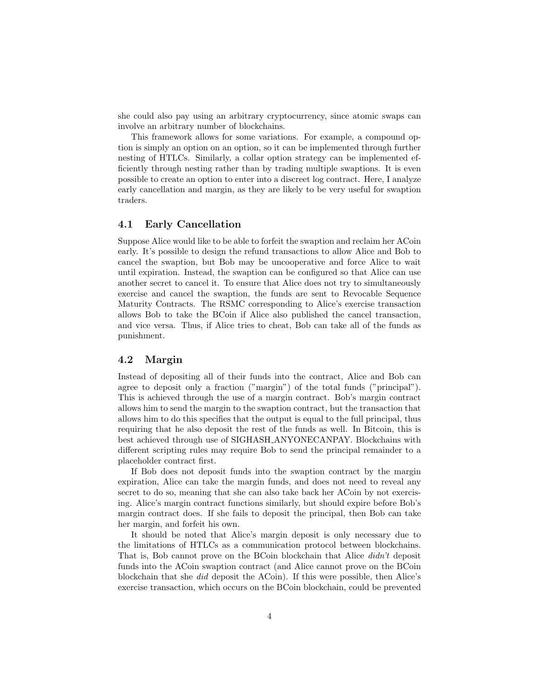she could also pay using an arbitrary cryptocurrency, since atomic swaps can involve an arbitrary number of blockchains.

This framework allows for some variations. For example, a compound option is simply an option on an option, so it can be implemented through further nesting of HTLCs. Similarly, a collar option strategy can be implemented efficiently through nesting rather than by trading multiple swaptions. It is even possible to create an option to enter into a discreet log contract. Here, I analyze early cancellation and margin, as they are likely to be very useful for swaption traders.

#### 4.1 Early Cancellation

Suppose Alice would like to be able to forfeit the swaption and reclaim her ACoin early. It's possible to design the refund transactions to allow Alice and Bob to cancel the swaption, but Bob may be uncooperative and force Alice to wait until expiration. Instead, the swaption can be configured so that Alice can use another secret to cancel it. To ensure that Alice does not try to simultaneously exercise and cancel the swaption, the funds are sent to Revocable Sequence Maturity Contracts. The RSMC corresponding to Alice's exercise transaction allows Bob to take the BCoin if Alice also published the cancel transaction, and vice versa. Thus, if Alice tries to cheat, Bob can take all of the funds as punishment.

#### 4.2 Margin

Instead of depositing all of their funds into the contract, Alice and Bob can agree to deposit only a fraction ("margin") of the total funds ("principal"). This is achieved through the use of a margin contract. Bob's margin contract allows him to send the margin to the swaption contract, but the transaction that allows him to do this specifies that the output is equal to the full principal, thus requiring that he also deposit the rest of the funds as well. In Bitcoin, this is best achieved through use of SIGHASH ANYONECANPAY. Blockchains with different scripting rules may require Bob to send the principal remainder to a placeholder contract first.

If Bob does not deposit funds into the swaption contract by the margin expiration, Alice can take the margin funds, and does not need to reveal any secret to do so, meaning that she can also take back her ACoin by not exercising. Alice's margin contract functions similarly, but should expire before Bob's margin contract does. If she fails to deposit the principal, then Bob can take her margin, and forfeit his own.

It should be noted that Alice's margin deposit is only necessary due to the limitations of HTLCs as a communication protocol between blockchains. That is, Bob cannot prove on the BCoin blockchain that Alice didn't deposit funds into the ACoin swaption contract (and Alice cannot prove on the BCoin blockchain that she did deposit the ACoin). If this were possible, then Alice's exercise transaction, which occurs on the BCoin blockchain, could be prevented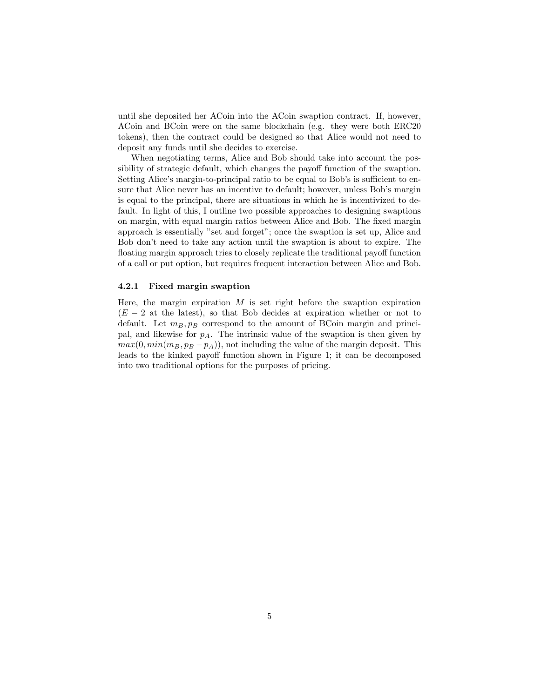until she deposited her ACoin into the ACoin swaption contract. If, however, ACoin and BCoin were on the same blockchain (e.g. they were both ERC20 tokens), then the contract could be designed so that Alice would not need to deposit any funds until she decides to exercise.

When negotiating terms, Alice and Bob should take into account the possibility of strategic default, which changes the payoff function of the swaption. Setting Alice's margin-to-principal ratio to be equal to Bob's is sufficient to ensure that Alice never has an incentive to default; however, unless Bob's margin is equal to the principal, there are situations in which he is incentivized to default. In light of this, I outline two possible approaches to designing swaptions on margin, with equal margin ratios between Alice and Bob. The fixed margin approach is essentially "set and forget"; once the swaption is set up, Alice and Bob don't need to take any action until the swaption is about to expire. The floating margin approach tries to closely replicate the traditional payoff function of a call or put option, but requires frequent interaction between Alice and Bob.

#### 4.2.1 Fixed margin swaption

Here, the margin expiration  $M$  is set right before the swaption expiration  $(E - 2$  at the latest), so that Bob decides at expiration whether or not to default. Let  $m_B, p_B$  correspond to the amount of BCoin margin and principal, and likewise for  $p_A$ . The intrinsic value of the swaption is then given by  $max(0, min(m_B, p_B - p_A))$ , not including the value of the margin deposit. This leads to the kinked payoff function shown in Figure 1; it can be decomposed into two traditional options for the purposes of pricing.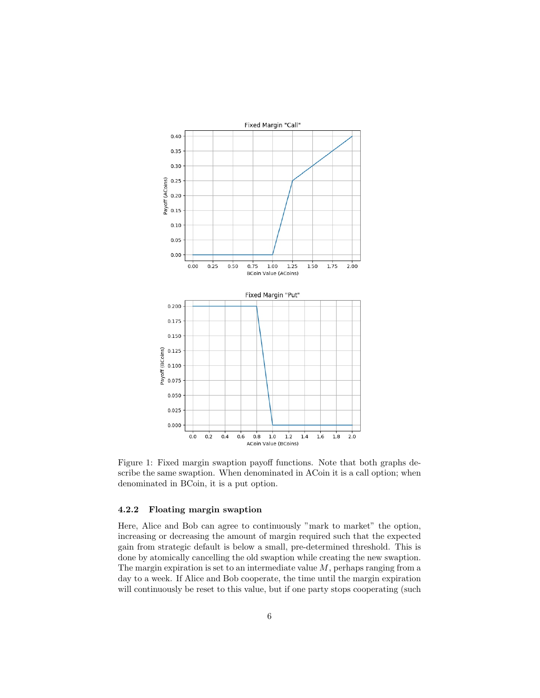

Figure 1: Fixed margin swaption payoff functions. Note that both graphs describe the same swaption. When denominated in ACoin it is a call option; when denominated in BCoin, it is a put option.

#### 4.2.2 Floating margin swaption

Here, Alice and Bob can agree to continuously "mark to market" the option, increasing or decreasing the amount of margin required such that the expected gain from strategic default is below a small, pre-determined threshold. This is done by atomically cancelling the old swaption while creating the new swaption. The margin expiration is set to an intermediate value  $M$ , perhaps ranging from a day to a week. If Alice and Bob cooperate, the time until the margin expiration will continuously be reset to this value, but if one party stops cooperating (such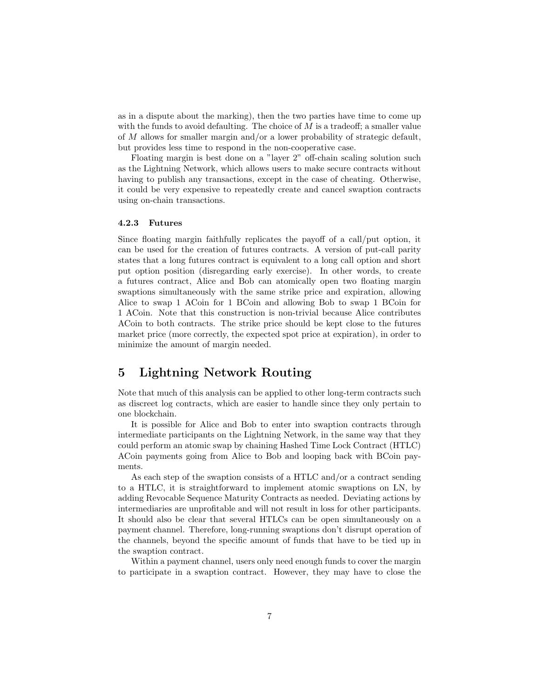as in a dispute about the marking), then the two parties have time to come up with the funds to avoid defaulting. The choice of  $M$  is a tradeoff; a smaller value of M allows for smaller margin and/or a lower probability of strategic default, but provides less time to respond in the non-cooperative case.

Floating margin is best done on a "layer 2" off-chain scaling solution such as the Lightning Network, which allows users to make secure contracts without having to publish any transactions, except in the case of cheating. Otherwise, it could be very expensive to repeatedly create and cancel swaption contracts using on-chain transactions.

#### 4.2.3 Futures

Since floating margin faithfully replicates the payoff of a call/put option, it can be used for the creation of futures contracts. A version of put-call parity states that a long futures contract is equivalent to a long call option and short put option position (disregarding early exercise). In other words, to create a futures contract, Alice and Bob can atomically open two floating margin swaptions simultaneously with the same strike price and expiration, allowing Alice to swap 1 ACoin for 1 BCoin and allowing Bob to swap 1 BCoin for 1 ACoin. Note that this construction is non-trivial because Alice contributes ACoin to both contracts. The strike price should be kept close to the futures market price (more correctly, the expected spot price at expiration), in order to minimize the amount of margin needed.

## 5 Lightning Network Routing

Note that much of this analysis can be applied to other long-term contracts such as discreet log contracts, which are easier to handle since they only pertain to one blockchain.

It is possible for Alice and Bob to enter into swaption contracts through intermediate participants on the Lightning Network, in the same way that they could perform an atomic swap by chaining Hashed Time Lock Contract (HTLC) ACoin payments going from Alice to Bob and looping back with BCoin payments.

As each step of the swaption consists of a HTLC and/or a contract sending to a HTLC, it is straightforward to implement atomic swaptions on LN, by adding Revocable Sequence Maturity Contracts as needed. Deviating actions by intermediaries are unprofitable and will not result in loss for other participants. It should also be clear that several HTLCs can be open simultaneously on a payment channel. Therefore, long-running swaptions don't disrupt operation of the channels, beyond the specific amount of funds that have to be tied up in the swaption contract.

Within a payment channel, users only need enough funds to cover the margin to participate in a swaption contract. However, they may have to close the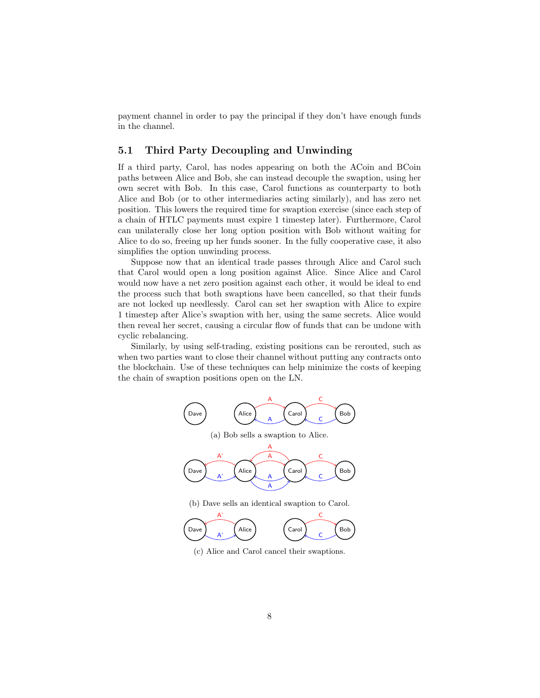payment channel in order to pay the principal if they don't have enough funds in the channel.

#### 5.1 Third Party Decoupling and Unwinding

If a third party, Carol, has nodes appearing on both the ACoin and BCoin paths between Alice and Bob, she can instead decouple the swaption, using her own secret with Bob. In this case, Carol functions as counterparty to both Alice and Bob (or to other intermediaries acting similarly), and has zero net position. This lowers the required time for swaption exercise (since each step of a chain of HTLC payments must expire 1 timestep later). Furthermore, Carol can unilaterally close her long option position with Bob without waiting for Alice to do so, freeing up her funds sooner. In the fully cooperative case, it also simplifies the option unwinding process.

Suppose now that an identical trade passes through Alice and Carol such that Carol would open a long position against Alice. Since Alice and Carol would now have a net zero position against each other, it would be ideal to end the process such that both swaptions have been cancelled, so that their funds are not locked up needlessly. Carol can set her swaption with Alice to expire 1 timestep after Alice's swaption with her, using the same secrets. Alice would then reveal her secret, causing a circular flow of funds that can be undone with cyclic rebalancing.

Similarly, by using self-trading, existing positions can be rerouted, such as when two parties want to close their channel without putting any contracts onto the blockchain. Use of these techniques can help minimize the costs of keeping the chain of swaption positions open on the LN.



(b) Dave sells an identical swaption to Carol.



(c) Alice and Carol cancel their swaptions.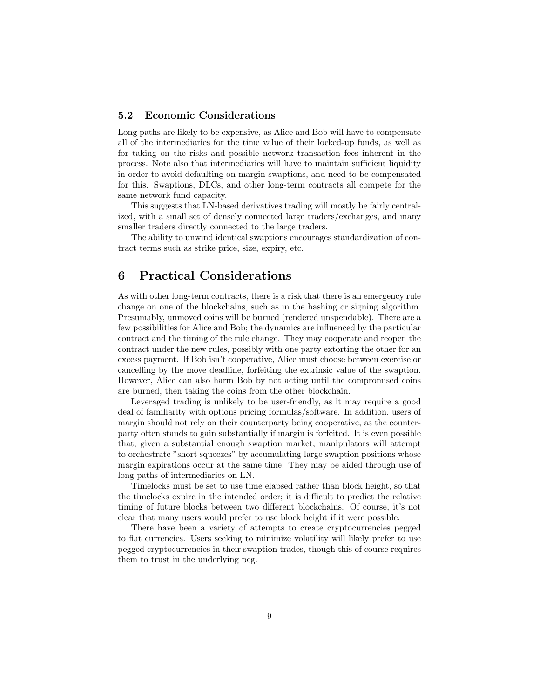### 5.2 Economic Considerations

Long paths are likely to be expensive, as Alice and Bob will have to compensate all of the intermediaries for the time value of their locked-up funds, as well as for taking on the risks and possible network transaction fees inherent in the process. Note also that intermediaries will have to maintain sufficient liquidity in order to avoid defaulting on margin swaptions, and need to be compensated for this. Swaptions, DLCs, and other long-term contracts all compete for the same network fund capacity.

This suggests that LN-based derivatives trading will mostly be fairly centralized, with a small set of densely connected large traders/exchanges, and many smaller traders directly connected to the large traders.

The ability to unwind identical swaptions encourages standardization of contract terms such as strike price, size, expiry, etc.

### 6 Practical Considerations

As with other long-term contracts, there is a risk that there is an emergency rule change on one of the blockchains, such as in the hashing or signing algorithm. Presumably, unmoved coins will be burned (rendered unspendable). There are a few possibilities for Alice and Bob; the dynamics are influenced by the particular contract and the timing of the rule change. They may cooperate and reopen the contract under the new rules, possibly with one party extorting the other for an excess payment. If Bob isn't cooperative, Alice must choose between exercise or cancelling by the move deadline, forfeiting the extrinsic value of the swaption. However, Alice can also harm Bob by not acting until the compromised coins are burned, then taking the coins from the other blockchain.

Leveraged trading is unlikely to be user-friendly, as it may require a good deal of familiarity with options pricing formulas/software. In addition, users of margin should not rely on their counterparty being cooperative, as the counterparty often stands to gain substantially if margin is forfeited. It is even possible that, given a substantial enough swaption market, manipulators will attempt to orchestrate "short squeezes" by accumulating large swaption positions whose margin expirations occur at the same time. They may be aided through use of long paths of intermediaries on LN.

Timelocks must be set to use time elapsed rather than block height, so that the timelocks expire in the intended order; it is difficult to predict the relative timing of future blocks between two different blockchains. Of course, it's not clear that many users would prefer to use block height if it were possible.

There have been a variety of attempts to create cryptocurrencies pegged to fiat currencies. Users seeking to minimize volatility will likely prefer to use pegged cryptocurrencies in their swaption trades, though this of course requires them to trust in the underlying peg.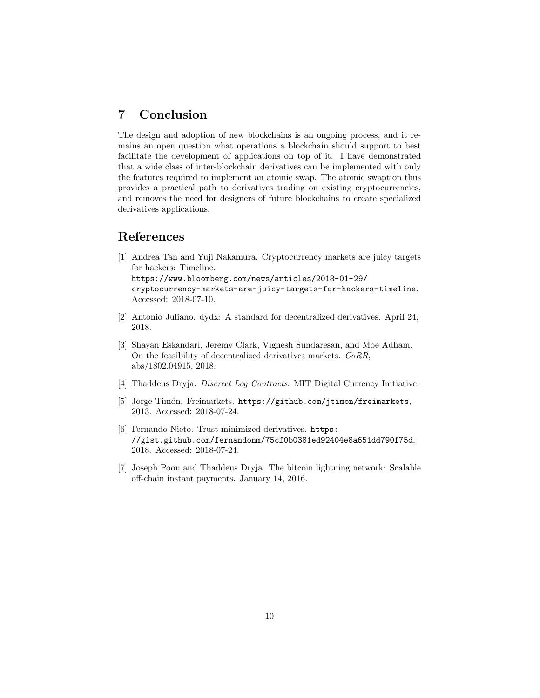## 7 Conclusion

The design and adoption of new blockchains is an ongoing process, and it remains an open question what operations a blockchain should support to best facilitate the development of applications on top of it. I have demonstrated that a wide class of inter-blockchain derivatives can be implemented with only the features required to implement an atomic swap. The atomic swaption thus provides a practical path to derivatives trading on existing cryptocurrencies, and removes the need for designers of future blockchains to create specialized derivatives applications.

### References

- [1] Andrea Tan and Yuji Nakamura. Cryptocurrency markets are juicy targets for hackers: Timeline. https://www.bloomberg.com/news/articles/2018-01-29/ cryptocurrency-markets-are-juicy-targets-for-hackers-timeline. Accessed: 2018-07-10.
- [2] Antonio Juliano. dydx: A standard for decentralized derivatives. April 24, 2018.
- [3] Shayan Eskandari, Jeremy Clark, Vignesh Sundaresan, and Moe Adham. On the feasibility of decentralized derivatives markets. CoRR, abs/1802.04915, 2018.
- [4] Thaddeus Dryja. Discreet Log Contracts. MIT Digital Currency Initiative.
- [5] Jorge Timón. Freimarkets. https://github.com/jtimon/freimarkets, 2013. Accessed: 2018-07-24.
- [6] Fernando Nieto. Trust-minimized derivatives. https: //gist.github.com/fernandonm/75cf0b0381ed92404e8a651dd790f75d, 2018. Accessed: 2018-07-24.
- [7] Joseph Poon and Thaddeus Dryja. The bitcoin lightning network: Scalable off-chain instant payments. January 14, 2016.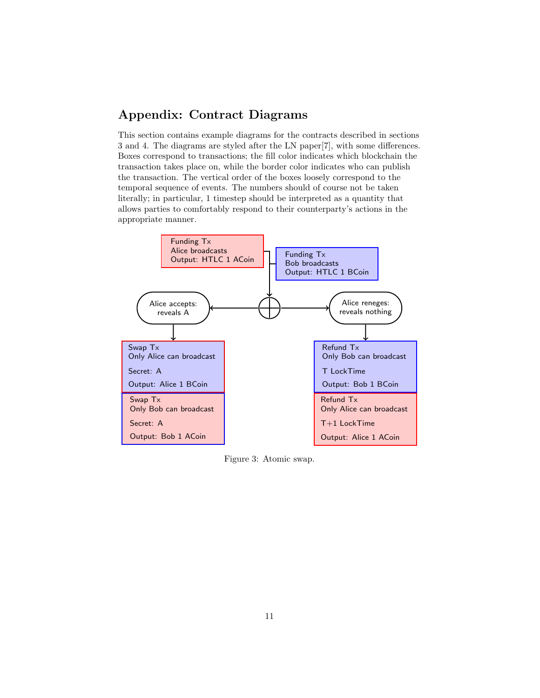## Appendix: Contract Diagrams

This section contains example diagrams for the contracts described in sections 3 and 4. The diagrams are styled after the LN paper[7], with some differences. Boxes correspond to transactions; the fill color indicates which blockchain the transaction takes place on, while the border color indicates who can publish the transaction. The vertical order of the boxes loosely correspond to the temporal sequence of events. The numbers should of course not be taken literally; in particular, 1 timestep should be interpreted as a quantity that allows parties to comfortably respond to their counterparty's actions in the appropriate manner.



Figure 3: Atomic swap.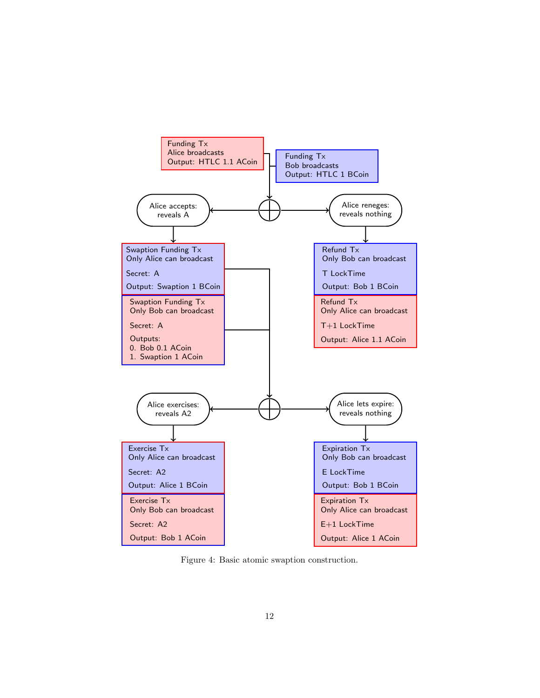

Figure 4: Basic atomic swaption construction.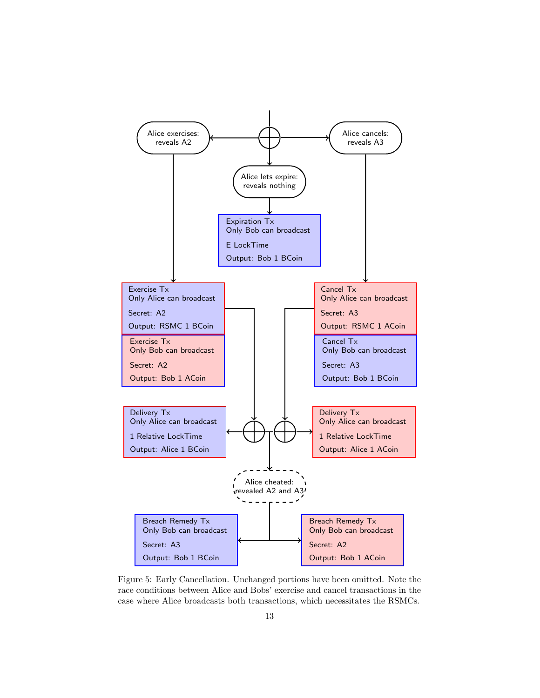

Figure 5: Early Cancellation. Unchanged portions have been omitted. Note the race conditions between Alice and Bobs' exercise and cancel transactions in the case where Alice broadcasts both transactions, which necessitates the RSMCs.